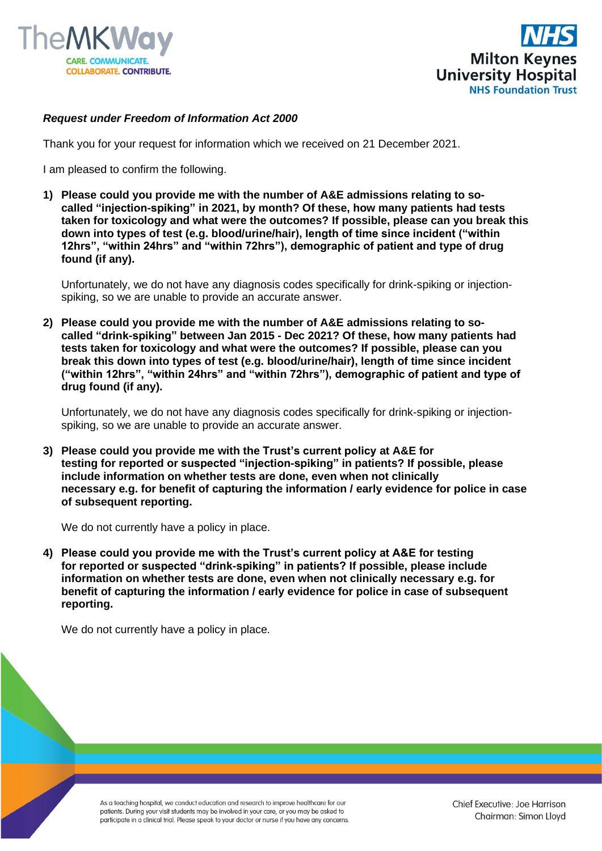



## *Request under Freedom of Information Act 2000*

Thank you for your request for information which we received on 21 December 2021.

I am pleased to confirm the following.

**1) Please could you provide me with the number of A&E admissions relating to socalled "injection-spiking" in 2021, by month? Of these, how many patients had tests taken for toxicology and what were the outcomes? If possible, please can you break this down into types of test (e.g. blood/urine/hair), length of time since incident ("within 12hrs", "within 24hrs" and "within 72hrs"), demographic of patient and type of drug found (if any).**

Unfortunately, we do not have any diagnosis codes specifically for drink-spiking or injectionspiking, so we are unable to provide an accurate answer.

**2) Please could you provide me with the number of A&E admissions relating to socalled "drink-spiking" between Jan 2015 - Dec 2021? Of these, how many patients had tests taken for toxicology and what were the outcomes? If possible, please can you break this down into types of test (e.g. blood/urine/hair), length of time since incident ("within 12hrs", "within 24hrs" and "within 72hrs"), demographic of patient and type of drug found (if any).**

Unfortunately, we do not have any diagnosis codes specifically for drink-spiking or injectionspiking, so we are unable to provide an accurate answer.

**3) Please could you provide me with the Trust's current policy at A&E for testing for reported or suspected "injection-spiking" in patients? If possible, please include information on whether tests are done, even when not clinically necessary e.g. for benefit of capturing the information / early evidence for police in case of subsequent reporting.**

We do not currently have a policy in place.

**4) Please could you provide me with the Trust's current policy at A&E for testing for reported or suspected "drink-spiking" in patients? If possible, please include information on whether tests are done, even when not clinically necessary e.g. for benefit of capturing the information / early evidence for police in case of subsequent reporting.**

We do not currently have a policy in place.

As a teaching hospital, we conduct education and research to improve healthcare for our patients. During your visit students may be involved in your care, or you may be asked to participate in a clinical trial. Please speak to your doctor or nurse if you have any concerns.